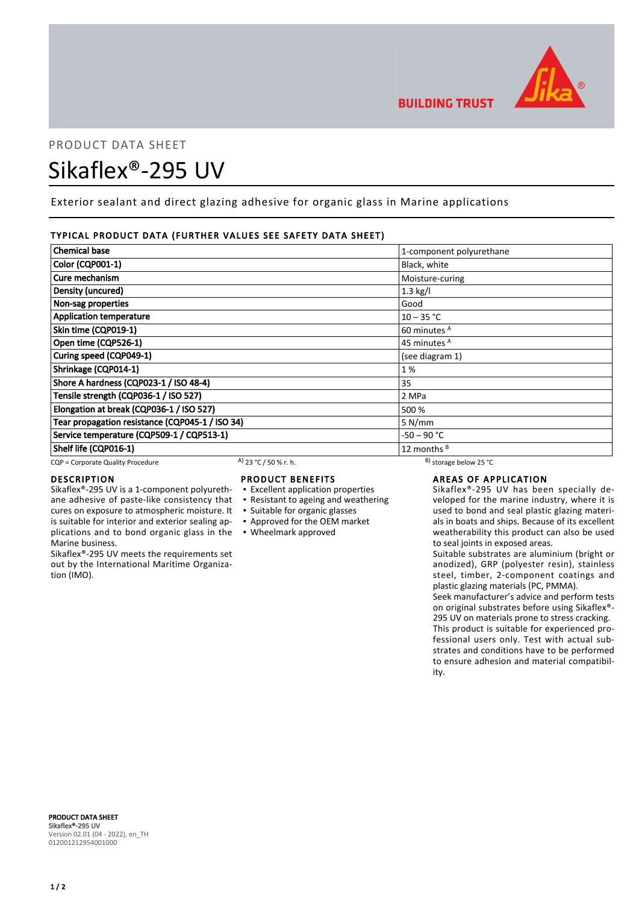

# PRODUCT DATA SHEET Sikaflex®-295 UV

Exterior sealant and direct glazing adhesive for organic glass in Marine applications

# TYPICAL PRODUCT DATA (FURTHER VALUES SEE SAFETY DATA SHEET)

| <b>Chemical base</b>                            |                       | 1-component polyurethane     |  |
|-------------------------------------------------|-----------------------|------------------------------|--|
| <b>Color (CQP001-1)</b>                         |                       | Black, white                 |  |
| Cure mechanism                                  |                       | Moisture-curing              |  |
| Density (uncured)                               |                       | $1.3$ kg/l                   |  |
| Non-sag properties                              |                       | Good                         |  |
| <b>Application temperature</b>                  |                       | $10 - 35 °C$                 |  |
| Skin time (CQP019-1)                            |                       | 60 minutes <sup>A</sup>      |  |
| Open time (CQP526-1)                            |                       | 45 minutes <sup>A</sup>      |  |
| Curing speed (CQP049-1)                         |                       | (see diagram 1)              |  |
| Shrinkage (CQP014-1)                            |                       | 1%                           |  |
| Shore A hardness (CQP023-1 / ISO 48-4)          |                       | 35                           |  |
| Tensile strength (CQP036-1 / ISO 527)           |                       | 2 MPa                        |  |
| Elongation at break (CQP036-1 / ISO 527)        |                       | 500 %                        |  |
| Tear propagation resistance (CQP045-1 / ISO 34) |                       | 5 N/mm                       |  |
| Service temperature (CQP509-1 / CQP513-1)       |                       | -50 – 90 °C                  |  |
| Shelf life (CQP016-1)                           |                       | 12 months <sup>B</sup>       |  |
| CQP = Corporate Quality Procedure               | A) 23 °C / 50 % r. h. | $^{B}$ ) storage below 25 °C |  |

cures on exposure to atmospheric moisture. It is suitable for interior and exterior sealing ap-

Sikaflex®-295 UV meets the requirements set out by the International Maritime Organiza-

# DESCRIPTION

Marine business.

tion (IMO).

# PRODUCT BENEFITS

- Sikaflex®-295 UV is a 1-component polyurethane adhesive of paste-like consistency that ▪ Excellent application properties
	- Resistant to ageing and weathering
	- Suitable for organic glasses
	- Approved for the OEM market
- plications and to bond organic glass in the Wheelmark approved

# AREAS OF APPLICATION

Sikaflex®-295 UV has been specially developed for the marine industry, where it is used to bond and seal plastic glazing materials in boats and ships. Because of its excellent weatherability this product can also be used to seal joints in exposed areas.

Suitable substrates are aluminium (bright or anodized), GRP (polyester resin), stainless steel, timber, 2-component coatings and plastic glazing materials (PC, PMMA).

Seek manufacturer's advice and perform tests on original substrates before using Sikaflex®- 295 UV on materials prone to stress cracking. This product is suitable for experienced professional users only. Test with actual substrates and conditions have to be performed to ensure adhesion and material compatibility.

PRODUCT DATA SHEET Sikaflex®-295 UV Version 02.01 (04 - 2022), en\_TH 012001212954001000